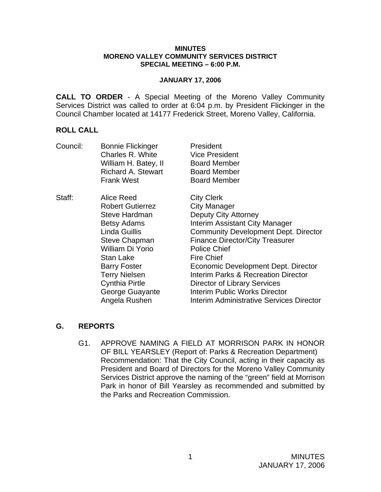#### **MINUTES MORENO VALLEY COMMUNITY SERVICES DISTRICT SPECIAL MEETING – 6:00 P.M.**

#### **JANUARY 17, 2006**

**CALL TO ORDER** - A Special Meeting of the Moreno Valley Community Services District was called to order at 6:04 p.m. by President Flickinger in the Council Chamber located at 14177 Frederick Street, Moreno Valley, California.

### **ROLL CALL**

| Council: | <b>Bonnie Flickinger</b>  | President                                   |
|----------|---------------------------|---------------------------------------------|
|          | Charles R. White          | <b>Vice President</b>                       |
|          | William H. Batey, II      | <b>Board Member</b>                         |
|          | <b>Richard A. Stewart</b> | <b>Board Member</b>                         |
|          | <b>Frank West</b>         | <b>Board Member</b>                         |
| Staff:   | Alice Reed                | <b>City Clerk</b>                           |
|          | <b>Robert Gutierrez</b>   | <b>City Manager</b>                         |
|          | <b>Steve Hardman</b>      | <b>Deputy City Attorney</b>                 |
|          | <b>Betsy Adams</b>        | Interim Assistant City Manager              |
|          | Linda Guillis             | <b>Community Development Dept. Director</b> |
|          | <b>Steve Chapman</b>      | <b>Finance Director/City Treasurer</b>      |
|          | William Di Yorio          | <b>Police Chief</b>                         |
|          | Stan Lake                 | <b>Fire Chief</b>                           |
|          | <b>Barry Foster</b>       | Economic Development Dept. Director         |
|          | <b>Terry Nielsen</b>      | Interim Parks & Recreation Director         |
|          | <b>Cynthia Pirtle</b>     | Director of Library Services                |
|          | George Guayante           | <b>Interim Public Works Director</b>        |
|          | Angela Rushen             | Interim Administrative Services Director    |

## **G. REPORTS**

G1. APPROVE NAMING A FIELD AT MORRISON PARK IN HONOR OF BILL YEARSLEY (Report of: Parks & Recreation Department) Recommendation: That the City Council, acting in their capacity as President and Board of Directors for the Moreno Valley Community Services District approve the naming of the "green" field at Morrison Park in honor of Bill Yearsley as recommended and submitted by the Parks and Recreation Commission.